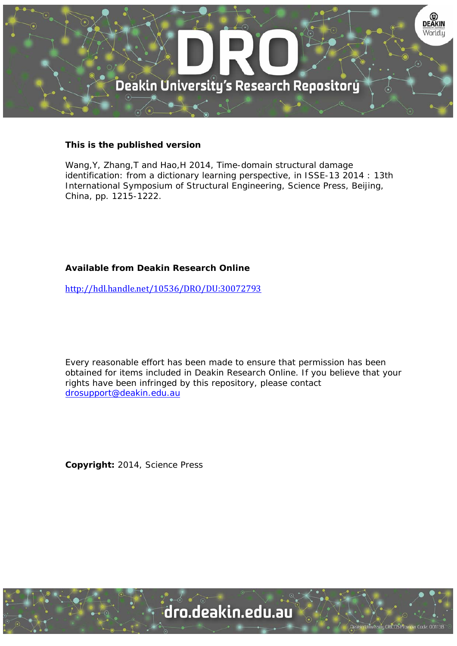

## **This is the published version**

Wang, Y, Zhang, T and Hao, H 2014, Time-domain structural damage identification: from a dictionary learning perspective, in ISSE-13 2014 : 13th International Symposium of Structural Engineering, Science Press, Beijing, China, pp. 1215-1222.

# **Available from Deakin Research Online**

http://hdl.handle.net/10536/DRO/DU:30072793

Every reasonable effort has been made to ensure that permission has been obtained for items included in Deakin Research Online. If you believe that your rights have been infringed by this repository, please contact drosupport@deakin.edu.au

**Copyright:** 2014, Science Press

University CRICOS Provider Code: 00113B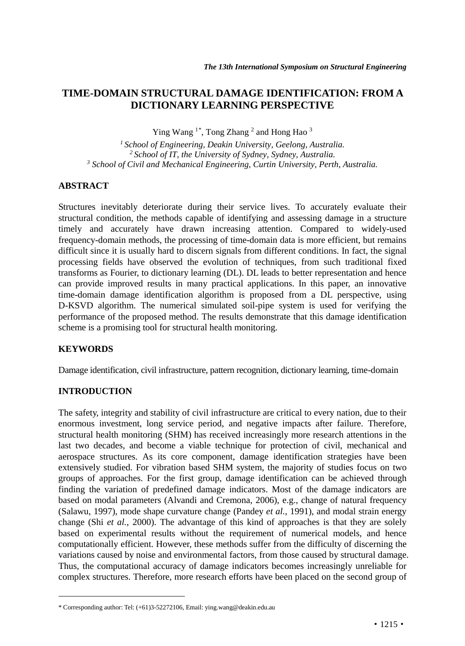## **TIME-DOMAIN STRUCTURAL DAMAGE IDENTIFICATION: FROM A DICTIONARY LEARNING PERSPECTIVE**

Ying Wang<sup>1[\\*](#page-1-0)</sup>, Tong Zhang<sup>2</sup> and Hong Hao<sup>3</sup>

*1 School of Engineering, Deakin University, Geelong, Australia. 2 School of IT, the University of Sydney, Sydney, Australia. <sup>3</sup> School of Civil and Mechanical Engineering, Curtin University, Perth, Australia.*

## **ABSTRACT**

Structures inevitably deteriorate during their service lives. To accurately evaluate their structural condition, the methods capable of identifying and assessing damage in a structure timely and accurately have drawn increasing attention. Compared to widely-used frequency-domain methods, the processing of time-domain data is more efficient, but remains difficult since it is usually hard to discern signals from different conditions. In fact, the signal processing fields have observed the evolution of techniques, from such traditional fixed transforms as Fourier, to dictionary learning (DL). DL leads to better representation and hence can provide improved results in many practical applications. In this paper, an innovative time-domain damage identification algorithm is proposed from a DL perspective, using D-KSVD algorithm. The numerical simulated soil-pipe system is used for verifying the performance of the proposed method. The results demonstrate that this damage identification scheme is a promising tool for structural health monitoring.

## **KEYWORDS**

 $\ddot{ }$ 

Damage identification, civil infrastructure, pattern recognition, dictionary learning, time-domain

## **INTRODUCTION**

The safety, integrity and stability of civil infrastructure are critical to every nation, due to their enormous investment, long service period, and negative impacts after failure. Therefore, structural health monitoring (SHM) has received increasingly more research attentions in the last two decades, and become a viable technique for protection of civil, mechanical and aerospace structures. As its core component, damage identification strategies have been extensively studied. For vibration based SHM system, the majority of studies focus on two groups of approaches. For the first group, damage identification can be achieved through finding the variation of predefined damage indicators. Most of the damage indicators are based on modal parameters (Alvandi and Cremona, 2006), e.g., change of natural frequency (Salawu, 1997), mode shape curvature change (Pandey *et al.*, 1991), and modal strain energy change (Shi *et al.*, 2000). The advantage of this kind of approaches is that they are solely based on experimental results without the requirement of numerical models, and hence computationally efficient. However, these methods suffer from the difficulty of discerning the variations caused by noise and environmental factors, from those caused by structural damage. Thus, the computational accuracy of damage indicators becomes increasingly unreliable for complex structures. Therefore, more research efforts have been placed on the second group of

<span id="page-1-0"></span><sup>\*</sup> Corresponding author: Tel: (+61)3-52272106, Email[: ying.wang@deakin.edu.au](mailto:ying.wang@deakin.edu.au)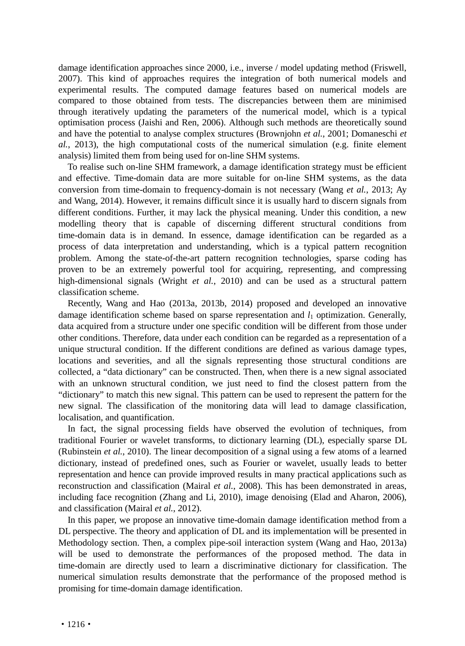damage identification approaches since 2000, i.e., inverse / model updating method (Friswell, 2007). This kind of approaches requires the integration of both numerical models and experimental results. The computed damage features based on numerical models are compared to those obtained from tests. The discrepancies between them are minimised through iteratively updating the parameters of the numerical model, which is a typical optimisation process (Jaishi and Ren, 2006). Although such methods are theoretically sound and have the potential to analyse complex structures (Brownjohn *et al.*, 2001; Domaneschi *et al.*, 2013), the high computational costs of the numerical simulation (e.g. finite element analysis) limited them from being used for on-line SHM systems.

To realise such on-line SHM framework, a damage identification strategy must be efficient and effective. Time-domain data are more suitable for on-line SHM systems, as the data conversion from time-domain to frequency-domain is not necessary (Wang *et al.*, 2013; Ay and Wang, 2014). However, it remains difficult since it is usually hard to discern signals from different conditions. Further, it may lack the physical meaning. Under this condition, a new modelling theory that is capable of discerning different structural conditions from time-domain data is in demand. In essence, damage identification can be regarded as a process of data interpretation and understanding, which is a typical pattern recognition problem. Among the state-of-the-art pattern recognition technologies, sparse coding has proven to be an extremely powerful tool for acquiring, representing, and compressing high-dimensional signals (Wright *et al.*, 2010) and can be used as a structural pattern classification scheme.

Recently, Wang and Hao (2013a, 2013b, 2014) proposed and developed an innovative damage identification scheme based on sparse representation and *l*<sup>1</sup> optimization. Generally, data acquired from a structure under one specific condition will be different from those under other conditions. Therefore, data under each condition can be regarded as a representation of a unique structural condition. If the different conditions are defined as various damage types, locations and severities, and all the signals representing those structural conditions are collected, a "data dictionary" can be constructed. Then, when there is a new signal associated with an unknown structural condition, we just need to find the closest pattern from the "dictionary" to match this new signal. This pattern can be used to represent the pattern for the new signal. The classification of the monitoring data will lead to damage classification, localisation, and quantification.

In fact, the signal processing fields have observed the evolution of techniques, from traditional Fourier or wavelet transforms, to dictionary learning (DL), especially sparse DL (Rubinstein *et al.*, 2010). The linear decomposition of a signal using a few atoms of a learned dictionary, instead of predefined ones, such as Fourier or wavelet, usually leads to better representation and hence can provide improved results in many practical applications such as reconstruction and classification (Mairal *et al.*, 2008). This has been demonstrated in areas, including face recognition (Zhang and Li, 2010), image denoising (Elad and Aharon, 2006), and classification (Mairal *et al.*, 2012).

In this paper, we propose an innovative time-domain damage identification method from a DL perspective. The theory and application of DL and its implementation will be presented in Methodology section. Then, a complex pipe-soil interaction system (Wang and Hao, 2013a) will be used to demonstrate the performances of the proposed method. The data in time-domain are directly used to learn a discriminative dictionary for classification. The numerical simulation results demonstrate that the performance of the proposed method is promising for time-domain damage identification.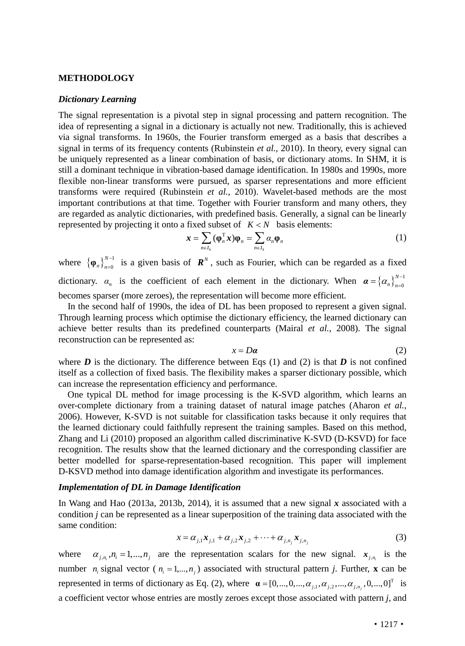#### **METHODOLOGY**

#### *Dictionary Learning*

The signal representation is a pivotal step in signal processing and pattern recognition. The idea of representing a signal in a dictionary is actually not new. Traditionally, this is achieved via signal transforms. In 1960s, the Fourier transform emerged as a basis that describes a signal in terms of its frequency contents (Rubinstein *et al.*, 2010). In theory, every signal can be uniquely represented as a linear combination of basis, or dictionary atoms. In SHM, it is still a dominant technique in vibration-based damage identification. In 1980s and 1990s, more flexible non-linear transforms were pursued, as sparser representations and more efficient transforms were required (Rubinstein *et al.*, 2010). Wavelet-based methods are the most important contributions at that time. Together with Fourier transform and many others, they are regarded as analytic dictionaries, with predefined basis. Generally, a signal can be linearly represented by projecting it onto a fixed subset of  $K < N$  basis elements:

$$
\boldsymbol{x} = \sum_{n \in I_k} (\boldsymbol{\varphi}_n^{\mathrm{T}} \boldsymbol{x}) \boldsymbol{\varphi}_n = \sum_{n \in I_k} \alpha_n \boldsymbol{\varphi}_n \tag{1}
$$

where  $\{\boldsymbol{\varphi}_n\}_{n=0}^{N-1}$ *N n n*  $\varphi_n\bigg|_{n=0}^{N-1}$  is a given basis of  $\mathbb{R}^N$ , such as Fourier, which can be regarded as a fixed dictionary.  $\alpha_n$  is the coefficient of each element in the dictionary. When  $\alpha = {\alpha_n}_{n=0}^{N-1}$  $\boldsymbol{\alpha} = \left\{\alpha_n\right\}_{n=1}^{N-1}$ becomes sparser (more zeroes), the representation will become more efficient.

In the second half of 1990s, the idea of DL has been proposed to represent a given signal. Through learning process which optimise the dictionary efficiency, the learned dictionary can achieve better results than its predefined counterparts (Mairal *et al.*, 2008). The signal reconstruction can be represented as:

$$
x = D\alpha \tag{2}
$$

where  $D$  is the dictionary. The difference between Eqs (1) and (2) is that  $D$  is not confined itself as a collection of fixed basis. The flexibility makes a sparser dictionary possible, which can increase the representation efficiency and performance.

One typical DL method for image processing is the K-SVD algorithm, which learns an over-complete dictionary from a training dataset of natural image patches (Aharon *et al.*, 2006). However, K-SVD is not suitable for classification tasks because it only requires that the learned dictionary could faithfully represent the training samples. Based on this method, Zhang and Li (2010) proposed an algorithm called discriminative K-SVD (D-KSVD) for face recognition. The results show that the learned dictionary and the corresponding classifier are better modelled for sparse-representation-based recognition. This paper will implement D-KSVD method into damage identification algorithm and investigate its performances.

#### *Implementation of DL in Damage Identification*

In Wang and Hao (2013a, 2013b, 2014), it is assumed that a new signal *x* associated with a condition *j* can be represented as a linear superposition of the training data associated with the same condition:

$$
x = \alpha_{j,1} x_{j,1} + \alpha_{j,2} x_{j,2} + \dots + \alpha_{j,n_j} x_{j,n_j}
$$
 (3)

where  $\alpha_{j,n_i}, n_i = 1, \dots, n_j$  are the representation scalars for the new signal.  $x_{j,n_i}$  is the number  $n_i$  signal vector ( $n_i = 1,...,n_j$ ) associated with structural pattern *j*. Further, **x** can be represented in terms of dictionary as Eq. (2), where  $\boldsymbol{\alpha} = [0, ..., 0, ..., \alpha_{j,1}, \alpha_{j,2}, ..., \alpha_{j,n_j}, 0, ..., 0]^T$  is a coefficient vector whose entries are mostly zeroes except those associated with pattern *j*, and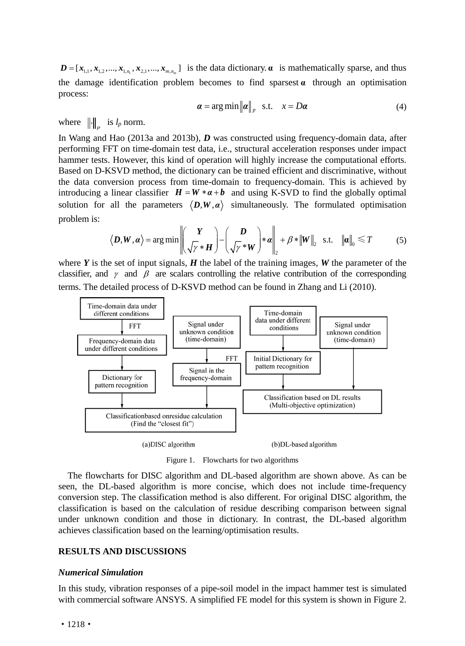$D = [x_{1,1}, x_{1,2}, ..., x_{1,n}, x_{2,1}, ..., x_{m,n}]$  is the data dictionary.  $\alpha$  is mathematically sparse, and thus the damage identification problem becomes to find sparsest  $\alpha$  through an optimisation process:

$$
\boldsymbol{\alpha} = \arg\min \|\boldsymbol{\alpha}\|_p \quad \text{s.t.} \quad x = D\boldsymbol{\alpha} \tag{4}
$$

where  $\|\cdot\|_p$  is  $l_p$  norm.

In Wang and Hao (2013a and 2013b), *D* was constructed using frequency-domain data, after performing FFT on time-domain test data, i.e., structural acceleration responses under impact hammer tests. However, this kind of operation will highly increase the computational efforts. Based on D-KSVD method, the dictionary can be trained efficient and discriminative, without the data conversion process from time-domain to frequency-domain. This is achieved by introducing a linear classifier  $H = W * a + b$  and using K-SVD to find the globally optimal solution for all the parameters  $\langle D, W, \alpha \rangle$  simultaneously. The formulated optimisation problem is:

$$
\langle \boldsymbol{D}, \boldsymbol{W}, \boldsymbol{\alpha} \rangle = \arg \min \left\| \left( \frac{\boldsymbol{Y}}{\sqrt{\gamma} * \boldsymbol{H}} \right) - \left( \frac{\boldsymbol{D}}{\sqrt{\gamma} * \boldsymbol{W}} \right) * \boldsymbol{\alpha} \right\|_2 + \beta * \|\boldsymbol{W}\|_2 \quad \text{s.t.} \quad \|\boldsymbol{\alpha}\|_0 \leq T \tag{5}
$$

where  $Y$  is the set of input signals,  $H$  the label of the training images,  $W$  the parameter of the classifier, and  $\gamma$  and  $\beta$  are scalars controlling the relative contribution of the corresponding terms. The detailed process of D-KSVD method can be found in Zhang and Li (2010).



Figure 1. Flowcharts for two algorithms

The flowcharts for DISC algorithm and DL-based algorithm are shown above. As can be seen, the DL-based algorithm is more concise, which does not include time-frequency conversion step. The classification method is also different. For original DISC algorithm, the classification is based on the calculation of residue describing comparison between signal under unknown condition and those in dictionary. In contrast, the DL-based algorithm achieves classification based on the learning/optimisation results.

### **RESULTS AND DISCUSSIONS**

#### *Numerical Simulation*

In this study, vibration responses of a pipe-soil model in the impact hammer test is simulated with commercial software ANSYS. A simplified FE model for this system is shown in Figure 2.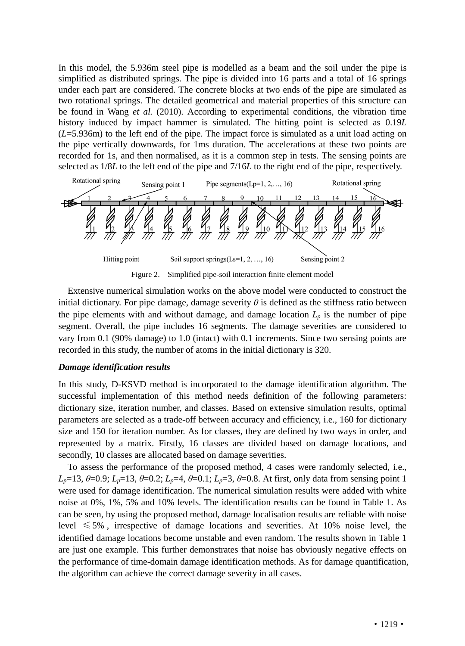In this model, the 5.936m steel pipe is modelled as a beam and the soil under the pipe is simplified as distributed springs. The pipe is divided into 16 parts and a total of 16 springs under each part are considered. The concrete blocks at two ends of the pipe are simulated as two rotational springs. The detailed geometrical and material properties of this structure can be found in Wang *et al.* (2010). According to experimental conditions, the vibration time history induced by impact hammer is simulated. The hitting point is selected as 0.19*L* (*L*=5.936m) to the left end of the pipe. The impact force is simulated as a unit load acting on the pipe vertically downwards, for 1ms duration. The accelerations at these two points are recorded for 1s, and then normalised, as it is a common step in tests. The sensing points are selected as 1/8*L* to the left end of the pipe and 7/16*L* to the right end of the pipe, respectively.



Figure 2. Simplified pipe-soil interaction finite element model

Extensive numerical simulation works on the above model were conducted to construct the initial dictionary. For pipe damage, damage severity  $\theta$  is defined as the stiffness ratio between the pipe elements with and without damage, and damage location  $L_p$  is the number of pipe segment. Overall, the pipe includes 16 segments. The damage severities are considered to vary from 0.1 (90% damage) to 1.0 (intact) with 0.1 increments. Since two sensing points are recorded in this study, the number of atoms in the initial dictionary is 320.

## *Damage identification results*

In this study, D-KSVD method is incorporated to the damage identification algorithm. The successful implementation of this method needs definition of the following parameters: dictionary size, iteration number, and classes. Based on extensive simulation results, optimal parameters are selected as a trade-off between accuracy and efficiency, i.e., 160 for dictionary size and 150 for iteration number. As for classes, they are defined by two ways in order, and represented by a matrix. Firstly, 16 classes are divided based on damage locations, and secondly, 10 classes are allocated based on damage severities.

To assess the performance of the proposed method, 4 cases were randomly selected, i.e., *L<sub>p</sub>*=13, *θ*=0.9; *L<sub>p</sub>*=13, *θ*=0.2; *L<sub>p</sub>*=4, *θ*=0.1; *L<sub>p</sub>*=3, *θ*=0.8. At first, only data from sensing point 1 were used for damage identification. The numerical simulation results were added with white noise at 0%, 1%, 5% and 10% levels. The identification results can be found in Table 1. As can be seen, by using the proposed method, damage localisation results are reliable with noise level  $\leq 5\%$ , irrespective of damage locations and severities. At 10% noise level, the identified damage locations become unstable and even random. The results shown in Table 1 are just one example. This further demonstrates that noise has obviously negative effects on the performance of time-domain damage identification methods. As for damage quantification, the algorithm can achieve the correct damage severity in all cases.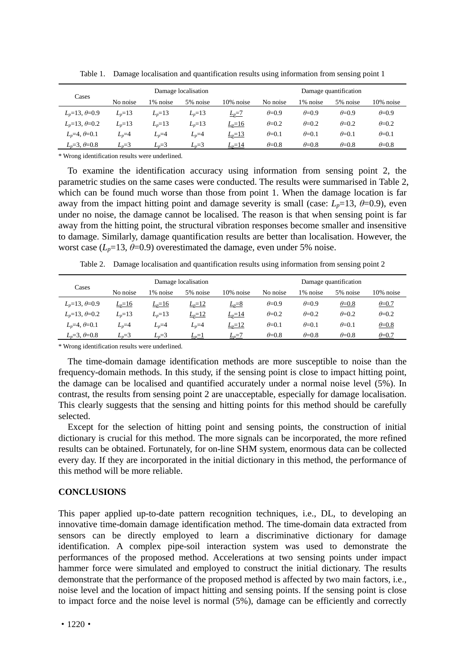| Cases                | Damage localisation |            |            |            | Damage quantification |                |                |                |
|----------------------|---------------------|------------|------------|------------|-----------------------|----------------|----------------|----------------|
|                      | No noise            | 1% noise   | 5% noise   | 10% noise  | No noise              | 1% noise       | 5% noise       | 10% noise      |
| $L_n=13, \theta=0.9$ | $L_n = 13$          | $L_n = 13$ | $L_n = 13$ | $L_p=7$    | $\theta = 0.9$        | $\theta = 0.9$ | $\theta = 0.9$ | $\theta = 0.9$ |
| $L_n=13, \theta=0.2$ | $L_n = 13$          | $L_n = 13$ | $L_n = 13$ | $Lp=16$    | $\theta = 0.2$        | $\theta = 0.2$ | $\theta = 0.2$ | $\theta = 0.2$ |
| $L_n=4, \theta=0.1$  | $L_n=4$             | $L_n=4$    | $L_n=4$    | $L_p = 13$ | $\theta = 0.1$        | $\theta = 0.1$ | $\theta = 0.1$ | $\theta = 0.1$ |
| $L_n=3, \theta=0.8$  | $L_n=3$             | $L_n=3$    | $L_n=3$    | $L_p = 14$ | $\theta = 0.8$        | $\theta = 0.8$ | $\theta = 0.8$ | $\theta = 0.8$ |

Table 1. Damage localisation and quantification results using information from sensing point 1

\* Wrong identification results were underlined.

To examine the identification accuracy using information from sensing point 2, the parametric studies on the same cases were conducted. The results were summarised in Table 2, which can be found much worse than those from point 1. When the damage location is far away from the impact hitting point and damage severity is small (case:  $L_p=13$ ,  $\theta=0.9$ ), even under no noise, the damage cannot be localised. The reason is that when sensing point is far away from the hitting point, the structural vibration responses become smaller and insensitive to damage. Similarly, damage quantification results are better than localisation. However, the worst case ( $L_p$ =13,  $\theta$ =0.9) overestimated the damage, even under 5% noise.

Table 2. Damage localisation and quantification results using information from sensing point 2

| Cases                | Damage localisation |            |          |            | Damage quantification |                |                |                |
|----------------------|---------------------|------------|----------|------------|-----------------------|----------------|----------------|----------------|
|                      | No noise            | 1% noise   | 5% noise | 10% noise  | No noise              | 1% noise       | 5% noise       | 10% noise      |
| $L_n=13, \theta=0.9$ | $Lp=16$             | $L_p=16$   | $L_p=12$ | $L_p=8$    | $\theta = 0.9$        | $\theta = 0.9$ | $\theta = 0.8$ | $\theta = 0.7$ |
| $L_n=13, \theta=0.2$ | $L_n = 13$          | $L_n = 13$ | $L_p=12$ | $L_p = 14$ | $\theta = 0.2$        | $\theta = 0.2$ | $\theta = 0.2$ | $\theta = 0.2$ |
| $L_n=4, \theta=0.1$  | $L_n=4$             | $L_n=4$    | $L_n=4$  | $L_p = 12$ | $\theta = 0.1$        | $\theta = 0.1$ | $\theta = 0.1$ | $\theta = 0.8$ |
| $L_n=3, \theta=0.8$  | $L_n=3$             | $L_n=3$    | $L_p=1$  | $L_p=7$    | $\theta = 0.8$        | $\theta = 0.8$ | $\theta = 0.8$ | $\theta = 0.7$ |

\* Wrong identification results were underlined.

The time-domain damage identification methods are more susceptible to noise than the frequency-domain methods. In this study, if the sensing point is close to impact hitting point, the damage can be localised and quantified accurately under a normal noise level (5%). In contrast, the results from sensing point 2 are unacceptable, especially for damage localisation. This clearly suggests that the sensing and hitting points for this method should be carefully selected.

Except for the selection of hitting point and sensing points, the construction of initial dictionary is crucial for this method. The more signals can be incorporated, the more refined results can be obtained. Fortunately, for on-line SHM system, enormous data can be collected every day. If they are incorporated in the initial dictionary in this method, the performance of this method will be more reliable.

## **CONCLUSIONS**

This paper applied up-to-date pattern recognition techniques, i.e., DL, to developing an innovative time-domain damage identification method. The time-domain data extracted from sensors can be directly employed to learn a discriminative dictionary for damage identification. A complex pipe-soil interaction system was used to demonstrate the performances of the proposed method. Accelerations at two sensing points under impact hammer force were simulated and employed to construct the initial dictionary. The results demonstrate that the performance of the proposed method is affected by two main factors, i.e., noise level and the location of impact hitting and sensing points. If the sensing point is close to impact force and the noise level is normal (5%), damage can be efficiently and correctly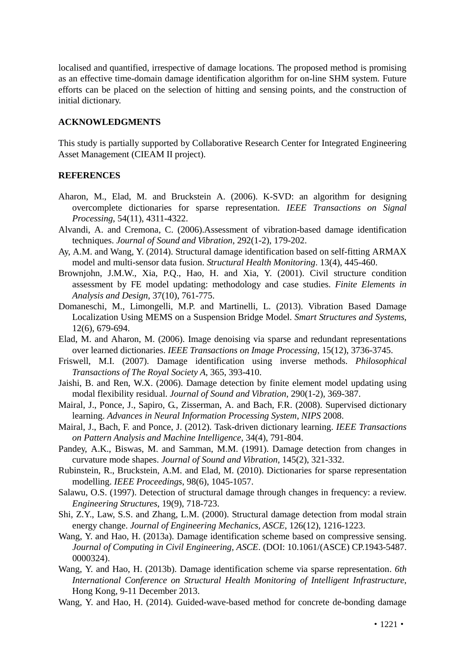localised and quantified, irrespective of damage locations. The proposed method is promising as an effective time-domain damage identification algorithm for on-line SHM system. Future efforts can be placed on the selection of hitting and sensing points, and the construction of initial dictionary.

### **ACKNOWLEDGMENTS**

This study is partially supported by Collaborative Research Center for Integrated Engineering Asset Management (CIEAM II project).

### **REFERENCES**

- Aharon, M., Elad, M. and Bruckstein A. (2006). K-SVD: an algorithm for designing overcomplete dictionaries for sparse representation. *IEEE Transactions on Signal Processing*, 54(11), 4311-4322.
- Alvandi, A. and Cremona, C. (2006).Assessment of vibration-based damage identification techniques. *Journal of Sound and Vibration*, 292(1-2), 179-202.
- Ay, A.M. and Wang, Y. (2014). Structural damage identification based on self-fitting ARMAX model and multi-sensor data fusion. *Structural Health Monitoring*. 13(4), 445-460.
- Brownjohn, J.M.W., Xia, P.Q., Hao, H. and Xia, Y. (2001). Civil structure condition assessment by FE model updating: methodology and case studies. *Finite Elements in Analysis and Design*, 37(10), 761-775.
- Domaneschi, M., Limongelli, M.P. and Martinelli, L. (2013). Vibration Based Damage Localization Using MEMS on a Suspension Bridge Model. *Smart Structures and Systems*, 12(6), 679-694.
- Elad, M. and Aharon, M. (2006). Image denoising via sparse and redundant representations over learned dictionaries. *IEEE Transactions on Image Processing*, 15(12), 3736-3745.
- Friswell, M.I. (2007). Damage identification using inverse methods. *Philosophical Transactions of The Royal Society A*, 365, 393-410.
- Jaishi, B. and Ren, W.X. (2006). Damage detection by finite element model updating using modal flexibility residual. *Journal of Sound and Vibration*, 290(1-2), 369-387.
- Mairal, J., Ponce, J., Sapiro, G., Zisserman, A. and Bach, F.R. (2008). Supervised dictionary learning. *Advances in Neural Information Processing System*, *NIPS* 2008.
- Mairal, J., Bach, F. and Ponce, J. (2012). Task-driven dictionary learning. *IEEE Transactions on Pattern Analysis and Machine Intelligence*, 34(4), 791-804.
- Pandey, A.K., Biswas, M. and Samman, M.M. (1991). Damage detection from changes in curvature mode shapes. *Journal of Sound and Vibration*, 145(2), 321-332.
- Rubinstein, R., Bruckstein, A.M. and Elad, M. (2010). Dictionaries for sparse representation modelling. *IEEE Proceedings*, 98(6), 1045-1057.
- Salawu, O.S. (1997). Detection of structural damage through changes in frequency: a review. *Engineering Structures*, 19(9), 718-723.
- Shi, Z.Y., Law, S.S. and Zhang, L.M. (2000). Structural damage detection from modal strain energy change. *Journal of Engineering Mechanics, ASCE*, 126(12), 1216-1223.
- Wang, Y. and Hao, H. (2013a). Damage identification scheme based on compressive sensing. *Journal of Computing in Civil Engineering, ASCE*. (DOI: 10.1061/(ASCE) CP.1943-5487. 0000324).
- Wang, Y. and Hao, H. (2013b). Damage identification scheme via sparse representation. *6th International Conference on Structural Health Monitoring of Intelligent Infrastructure*, Hong Kong, 9-11 December 2013.
- Wang, Y. and Hao, H. (2014). Guided-wave-based method for concrete de-bonding damage